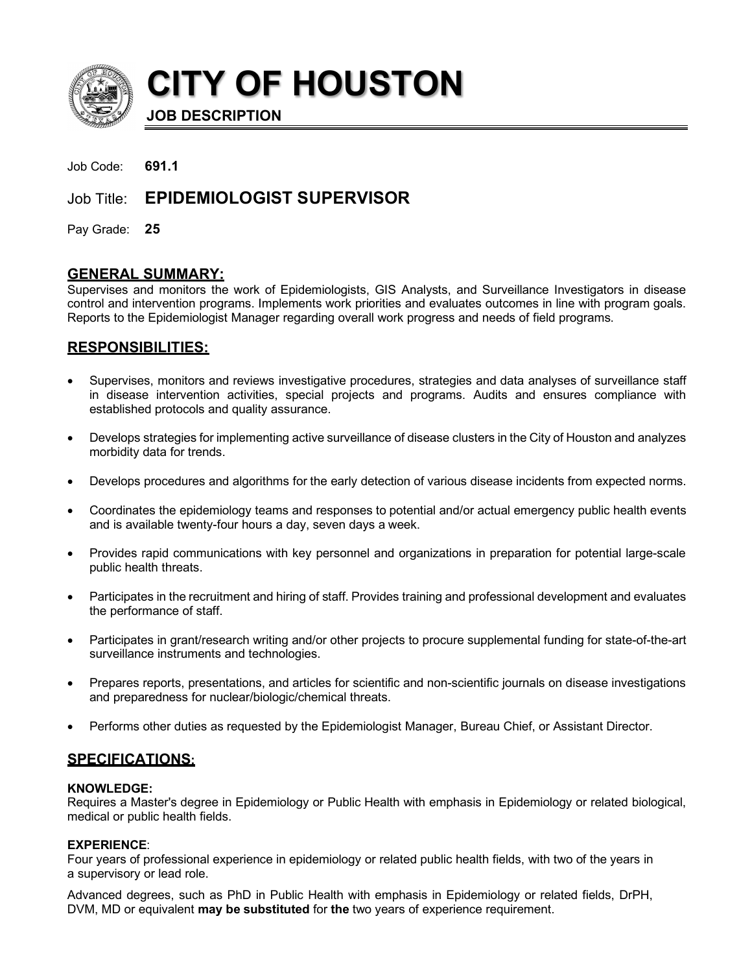

**CITY OF HOUSTON**

**JOB DESCRIPTION**

| Job Code: | 691.1 |
|-----------|-------|
|-----------|-------|

# Job Title: **EPIDEMIOLOGIST SUPERVISOR**

Pay Grade: **25**

## **GENERAL SUMMARY:**

Supervises and monitors the work of Epidemiologists, GIS Analysts, and Surveillance Investigators in disease control and intervention programs. Implements work priorities and evaluates outcomes in line with program goals. Reports to the Epidemiologist Manager regarding overall work progress and needs of field programs.

## **RESPONSIBILITIES:**

- Supervises, monitors and reviews investigative procedures, strategies and data analyses of surveillance staff in disease intervention activities, special projects and programs. Audits and ensures compliance with established protocols and quality assurance.
- Develops strategies for implementing active surveillance of disease clusters in the City of Houston and analyzes morbidity data for trends.
- Develops procedures and algorithms for the early detection of various disease incidents from expected norms.
- Coordinates the epidemiology teams and responses to potential and/or actual emergency public health events and is available twenty-four hours a day, seven days a week.
- Provides rapid communications with key personnel and organizations in preparation for potential large-scale public health threats.
- Participates in the recruitment and hiring of staff. Provides training and professional development and evaluates the performance of staff.
- Participates in grant/research writing and/or other projects to procure supplemental funding for state-of-the-art surveillance instruments and technologies.
- Prepares reports, presentations, and articles for scientific and non-scientific journals on disease investigations and preparedness for nuclear/biologic/chemical threats.
- Performs other duties as requested by the Epidemiologist Manager, Bureau Chief, or Assistant Director.

## **SPECIFICATIONS:**

#### **KNOWLEDGE:**

Requires a Master's degree in Epidemiology or Public Health with emphasis in Epidemiology or related biological, medical or public health fields.

## **EXPERIENCE**:

Four years of professional experience in epidemiology or related public health fields, with two of the years in a supervisory or lead role.

Advanced degrees, such as PhD in Public Health with emphasis in Epidemiology or related fields, DrPH, DVM, MD or equivalent **may be substituted** for **the** two years of experience requirement.